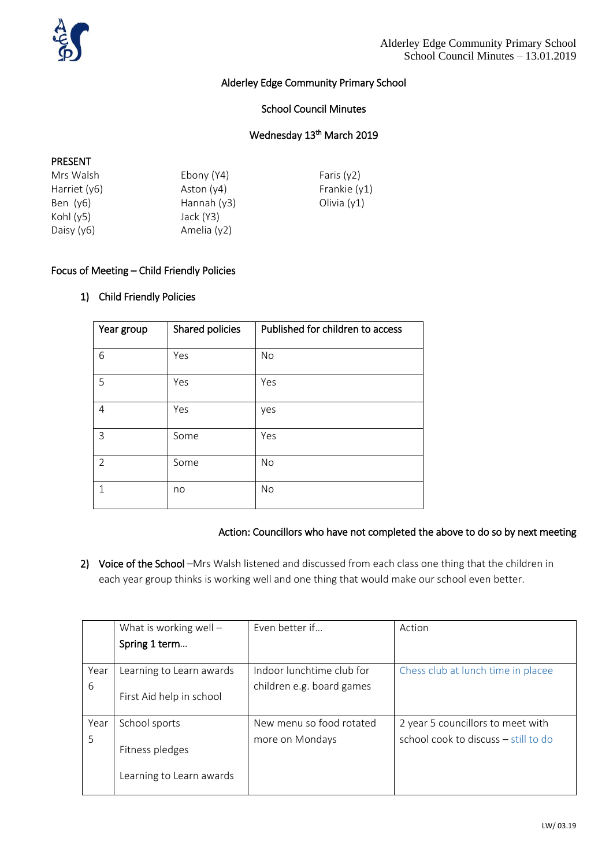

## Alderley Edge Community Primary School

### School Council Minutes

## Wednesday 13<sup>th</sup> March 2019

#### PRESENT

| Ebony (Y4)    | Faris $(y2)$   |
|---------------|----------------|
| Aston $(y4)$  | Frankie $(y1)$ |
| Hannah $(y3)$ | Olivia $(y1)$  |
| Jack (Y3)     |                |
| Amelia (y2)   |                |
|               |                |

## Focus of Meeting – Child Friendly Policies

## 1) Child Friendly Policies

| Year group     | Shared policies | Published for children to access |
|----------------|-----------------|----------------------------------|
| 6              | Yes             | No                               |
| 5              | Yes             | Yes                              |
| 4              | Yes             | yes                              |
| 3              | Some            | Yes                              |
| $\overline{2}$ | Some            | No                               |
| 1              | no              | No                               |

# Action: Councillors who have not completed the above to do so by next meeting

2) Voice of the School -Mrs Walsh listened and discussed from each class one thing that the children in each year group thinks is working well and one thing that would make our school even better.

|      | What is working well $-$ | Even better if            | Action                               |
|------|--------------------------|---------------------------|--------------------------------------|
|      | Spring 1 term            |                           |                                      |
|      |                          |                           |                                      |
| Year | Learning to Learn awards | Indoor lunchtime club for | Chess club at lunch time in placee   |
| 6    |                          | children e.g. board games |                                      |
|      | First Aid help in school |                           |                                      |
|      |                          |                           |                                      |
| Year | School sports            | New menu so food rotated  | 2 year 5 councillors to meet with    |
| 5    |                          | more on Mondays           | school cook to discuss - still to do |
|      | Fitness pledges          |                           |                                      |
|      |                          |                           |                                      |
|      | Learning to Learn awards |                           |                                      |
|      |                          |                           |                                      |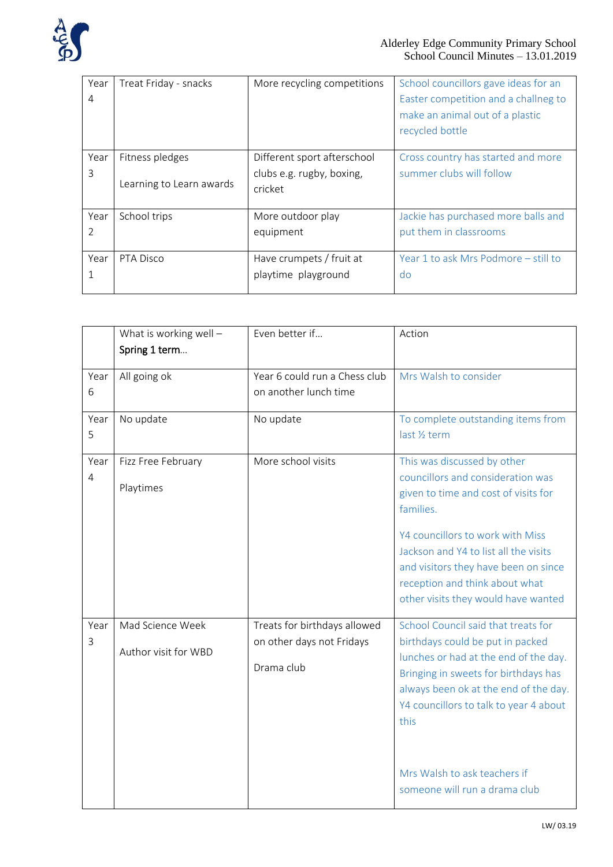

| Year<br>4 | Treat Friday - snacks    | More recycling competitions | School councillors gave ideas for an<br>Easter competition and a challneg to<br>make an animal out of a plastic<br>recycled bottle |
|-----------|--------------------------|-----------------------------|------------------------------------------------------------------------------------------------------------------------------------|
| Year      | Fitness pledges          | Different sport afterschool | Cross country has started and more                                                                                                 |
| 3         | Learning to Learn awards | clubs e.g. rugby, boxing,   | summer clubs will follow                                                                                                           |
|           |                          | cricket                     |                                                                                                                                    |
| Year      | School trips             | More outdoor play           | Jackie has purchased more balls and                                                                                                |
| 2         |                          | equipment                   | put them in classrooms                                                                                                             |
|           |                          |                             |                                                                                                                                    |
| Year      | PTA Disco                | Have crumpets / fruit at    | Year 1 to ask Mrs Podmore - still to                                                                                               |
| 1         |                          | playtime playground         | do                                                                                                                                 |
|           |                          |                             |                                                                                                                                    |

|                        | What is working well $-$<br>Spring 1 term | Even better if                                                          | Action                                                                                                                                                                                                                                                                                                               |
|------------------------|-------------------------------------------|-------------------------------------------------------------------------|----------------------------------------------------------------------------------------------------------------------------------------------------------------------------------------------------------------------------------------------------------------------------------------------------------------------|
| Year<br>6              | All going ok                              | Year 6 could run a Chess club<br>on another lunch time                  | Mrs Walsh to consider                                                                                                                                                                                                                                                                                                |
| Year<br>5              | No update                                 | No update                                                               | To complete outstanding items from<br>last 1/ <sub>2</sub> term                                                                                                                                                                                                                                                      |
| Year<br>$\overline{4}$ | Fizz Free February<br>Playtimes           | More school visits                                                      | This was discussed by other<br>councillors and consideration was<br>given to time and cost of visits for<br>families.<br>Y4 councillors to work with Miss<br>Jackson and Y4 to list all the visits<br>and visitors they have been on since<br>reception and think about what<br>other visits they would have wanted  |
| Year<br>3              | Mad Science Week<br>Author visit for WBD  | Treats for birthdays allowed<br>on other days not Fridays<br>Drama club | School Council said that treats for<br>birthdays could be put in packed<br>lunches or had at the end of the day.<br>Bringing in sweets for birthdays has<br>always been ok at the end of the day.<br>Y4 councillors to talk to year 4 about<br>this<br>Mrs Walsh to ask teachers if<br>someone will run a drama club |